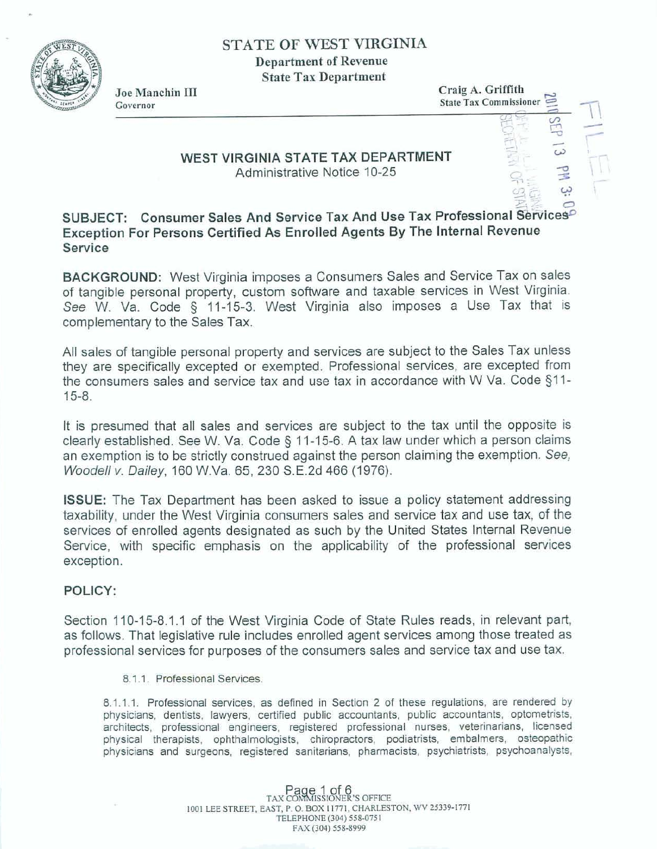



**Governor Governor Governor Governor Governor Governor Governor Governor Governor Governor Governor Governor Governor Governor Governor Governor Governor Governor Governor Governor G** 

 $\mathbb{R}^{\mathbb{S}^+}_{+}$ 

**-1** -

 $-25$ <br> $-25$ <br> $-1$ 

**-1** -- \- **I'** / - **I+,-,**  -0 \ \\ : I-

 $\mathbb{I}$ 

**Cn-** 

 $\frac{1}{2}$   $\frac{1}{2}$   $\frac{1}{2}$   $\frac{1}{2}$   $\frac{1}{2}$ 

## **WEST VlRGlNlA STATE TAX DEPARTMENT**  Administrative Notice 10-25

## z;s **0**   $\texttt{SUBJECT:} \quad$  Consumer Sales And Service Tax And Use Tax Professional Services  $\texttt{S}$ **Exception For Persons Certified As Enrolled Agents By The Internal Revenue Service**

**BACKGROUND:** West Virginia **imposes** a Consumers Sales and Service Tax **on sales**  of tangible personal **property, custom** software and taxable **services** in **West** Virginia. **See** W. **Va.** Code **5** 11-15-3. West Virginia **also imposes** a Use Tax that **is**  complementary to the **Sales** Tax.

**All sates** of **tangible** personal property and **services are subject to** the **Sales** Tax **unless**  they are **specifically excepted** or **exempted.** Professional **services,** are **excepted from**  the **consumers sales and service** tax and use **tax in** accordance with W Va. Code **\$1 1- 15-8.** 

It **is presumed** that all **sales** and **services** are subject to the **tax** until the **opposite is**  clearly **established. See** W. Va. **Code** § 11-15-6. **A tax** law under which a person claims an exemption **is to** be **strictly construed** against the **person** claiming the exemption. **See,**  Woodell **v-** Dailey, **q60 W-Va. 65,230 S.E.2d** 466 **(1976).** 

**ISSUE:** The Tax Department **has been asked** to **issue** a **policy** statement **addressing**  taxability, under the **West** Virginia consumers **sales and** service tax and **use** tax, of the **services of enrolled** agents **designated as** such **by the** United States Internal Revenue **Service,** with specific **emphasis** on the **applicability** of the **professional services exception.** 

## POLICY:

Section 110-15-8.1.1 of the **West** Virginia Code of State **Rules reads, in** relevant **part,**  as follows. That legislative rule **indudes** enrolled agent services among those treated as **professional** services for **purposes of the** consumers **sates** and service tax **and use tax.** 

8.1.1. Professional Services.

**8.1.1.1. Professional services, as defined** in **Section 2** of these regutations, are **rendered by physicians, dentists,** lawyers, **certified** public accountants, **public accountants, optometrists,**  architects, professional engineers, registered professional nurses, veterinarians, licensed **physical therapists, ophthalmologists, chiropractors, podiatrists, embalmers, osteopathic physicians and surgeons, registered sanitarians, pharmacists, psychiatrists, psychoanalysts,** 

> **1000 Page 1 of 6**<br>**1001 LEE STREET, EAST, P. O. BOX 11771, CHARLESTON, WV 25339-1771 TELEPHONE (304) 558-074 1**   $FAX (304) 558-8999$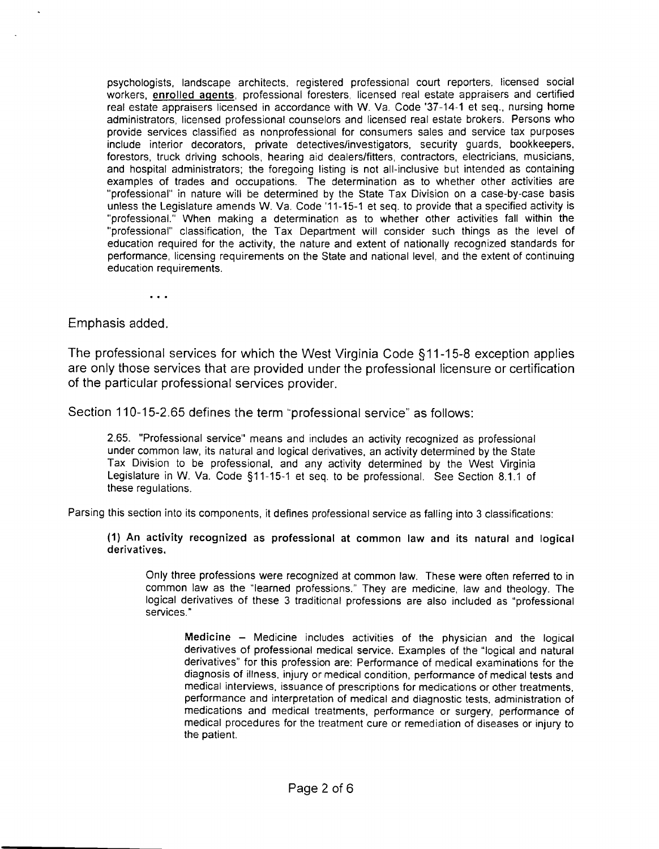psychologists, landscape architects, registered professional court reporters, licensed social workers, enrolled agents, professional foresters, licensed real estate appraisers and certified real estate appraisers licensed in accordance with W. Va. Code '37-14-1 et seq.. nursing home administrators, licensed professional counselors and licensed real estate brokers. Persons who provide services classified as nonprofessional for consumers sales and service tax purposes include interior decorators, private detectives/investigators, security guards, bookkeepers, forestors, truck driving schools, hearing aid dealerslfitters, contractors, electricians, musicians, and hospital administrators; the foregoing listing is not all-inclusive but intended as containing examples of trades and occupations. The determination as to whether other activities are "professional" in nature will be determined by the State Tax Division on a case-by-case basis unless the Legislature amends W. Va. Code '11-15-1 et seq. to provide that a specified activity is "professional." When making a determination as to whether other activities fall within the "professional" classification, the Tax Department will consider such things as the level of education required for the activity, the nature and extent of nationally recognized standards for performance, licensing requirements on the State and national level, and the extent of continuing education requirements.

 $\sim$   $\sim$ 

Emphasis added.

The professional services for which the West Virginia Code §11-15-8 exception applies are only those services that are provided under the professional licensure or certification of the particular professional services provider.

Section 110-15-2.65 defines the term "professional service" as follows:

2.65. "Professional service" means and includes an activity recognized as professional under common law, its natural and logical derivatives, an activity determined by the State Tax Division to be professional, and any activity determined by the West Virginia Legislature in W. Va. Code §11-15-1 et seq. to be professional. See Section 8.1.1 of these regulations.

Parsing this section into its components, it defines professional service as falling into 3 classifications:

(1) An activity recognized as professional at common law and **its** natural and logical derivatives.

Only three professions were recognized at common law. These were often referred to in common law as the "learned professions." They are medicine, law and theology. The logical derivatives of these 3 traditional professions are also included as "professional services."

Medicine - Medicine includes activities of the physician and the logical derivatives of professional medical service. Examples of the "logical and natural derivatives" for this profession are: Performance of medical examinations for the diagnosis of illness. injury or medical condition, performance of medical tests and medical interviews, issuance of prescriptions for medications or other treatments. performance and interpretation of medical and diagnostic tests. administration of medications and medical treatments, performance or surgery, performance of medical procedures for the treatment cure or remediation of diseases or injury to the patient.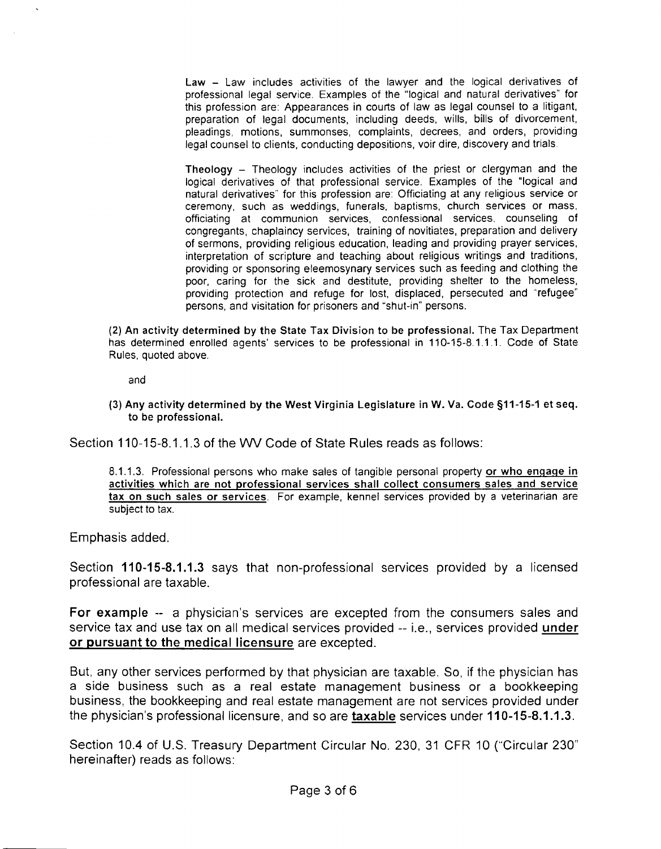Law - Law includes activities of the lawyer and the logical derivatives of professional legal service. Examples of the "logical and natural derivatives" for this profession are: Appearances in courts of law as legal counsel to a litigant, preparation of legal documents, including deeds, wills, bills of divorcement, pleadings, motions, summonses, complaints, decrees, and orders, providing legal counsel to clients, conducting depositions, voir dire, discovery and trials.

Theology - Theology includes activities of the priest or clergyman and the logical derivatives of that professional service. Examples of the "logical and natural derivatives" for this profession are: Officiating at any religious service or ceremony, such as weddings, funerals, baptisms, church services or mass. officiating at communion services, confessional services, counseling of congregants, chaplaincy services, training of novitiates, preparation and delivery of sermons, providing religious education, leading and providing prayer services, interpretation of scripture and teaching about religious writings and traditions, providing or sponsoring eleemosynary services such as feeding and clothing the poor, caring for the sick and destitute, providing shelter to the homeless, providing protection and refuge for lost, displaced, persecuted and "refugee" persons, and visitation for prisoners and "shut-in" persons.

(2) An activity determined by the State Tax Division to be professional. The Tax Department<br>has determined enrolled agents' services to be professional in 110-15-8.1.1.1. Code of State Rules, quoted above.

and

(3) Any activity determined by the West Virginia Legislature in W. Va. Code §11-15-1 et seq. to be professional.

Section 110-15-8.1.1.3 of the WV Code of State Rules reads as follows:

8.1.1.3. Professional persons who make sales of tangible personal property or who engage in activities which are not professional services shall collect consumers sales and service tax on such sales or services. For example, kennel services provided by a veterinarian are subject to tax.

Emphasis added.

Section 110-15-8.1.1.3 says that non-professional services provided by a licensed professional are taxable.

**For** example -- a physician's services are excepted from the consumers sales and service tax and use tax on all medical services provided -- i.e., services provided under or pursuant to the medical licensure are excepted.

But, any other services performed by that physician are taxable. So, if the physician has a side business such as a real estate management business or a bookkeeping business, the bookkeeping and real estate management are not services provided under a side business such as a real estate management business or a bookkeeping<br>business, the bookkeeping and real estate management are not services provided under<br>the physician's professional licensure, and so are **taxable** s

Section 10.4 of U.S. Treasury Department Circular No. 230, 31 CFR 10 ("Circular 230" hereinafter) reads as follows: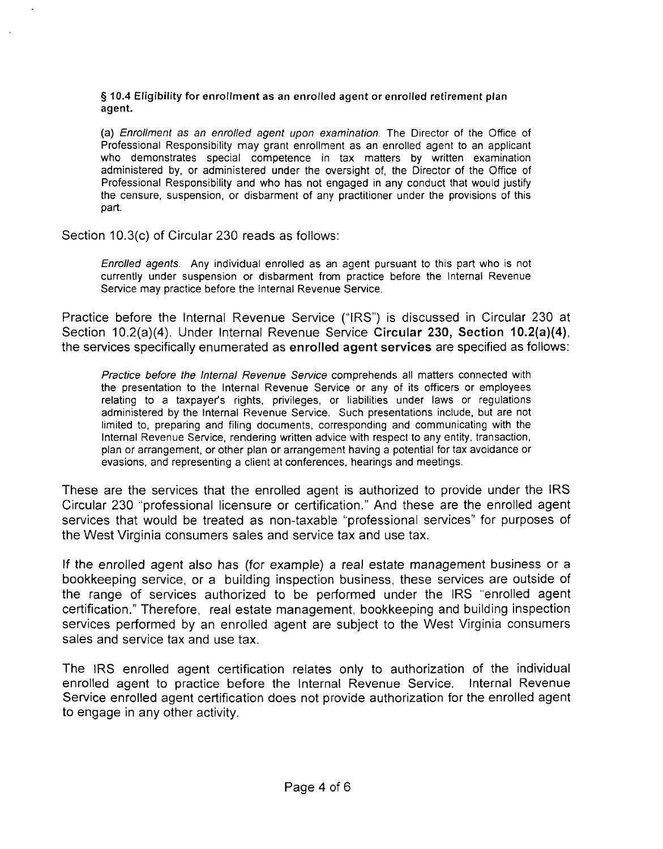§ **10.4** Eligibility for enrollment **as** an enrolled agent **or** enrolled retirement plan agent.

(a) Enrollment as an enrolled agent upon examination. The Director of the Office of Professional Responsibility may grant enrollment as an enrolled agent to an applicant who demonstrates special competence in tax matters by written examination administered by, or administered under the oversight of, the Director of the Office of Professional Responsibility and who has not engaged in any conduct that would justify the censure, suspension, or disbarment of any practitioner under the provisions of this part.

Section 10.3(c) of Circular 230 reads as follows:

Enrolled agents. Any individual enrolled as an agent pursuant to this part who is not currently under suspension or disbarment from practice before the lnternal Revenue Service may practice before the lnternal Revenue Service.

Practice before the lnternal Revenue Service ("IRS") is discussed in Circular 230 at Section 10.2(a)(4). Under lnternal Revenue Service Circular **230,** Section **10.2(a)(4),**  the services specifically enumerated as enrolled agent services are specified as follows:

Practice before the Internal Revenue Service comprehends all matters connected with the presentation to the lnternal Revenue Service or any of its officers or employees relating to a taxpayer's rights, privileges, or liabilities under laws or regulations administered by the lnternal Revenue Service. Such presentations include, but are not limited to, preparing and filing documents, corresponding and communicating with the lnternal Revenue Service, rendering written advice with respect to any entity, transaction, plan or arrangement, or other plan or arrangement having a potential for tax avoidance or evasions, and representing a client at conferences, hearings and meetings.

These are the services that the enrolled agent is authorized to provide under the IRS Circular 230 "professional licensure or certification." And these are the enrolled agent services that would be treated as non-taxable "professional services" for purposes of the West Virginia consumers sales and service tax and use tax.

If the enrolled agent also has (for example) a real estate management business or a bookkeeping service, or a building inspection business, these services are outside of the range of services authorized to be performed under the IRS "enrolled agent certification." Therefore, real estate management, bookkeeping and building inspection services performed by an enrolled agent are subject to the West Virginia consumers sales and service tax and use tax.

The IRS enrolled agent certification relates only to authorization of the individual enrolled agent to practice before the lnternal Revenue Service. lnternal Revenue Service enrolled agent certification does not provide authorization for the enrolled agent to engage in any other activity.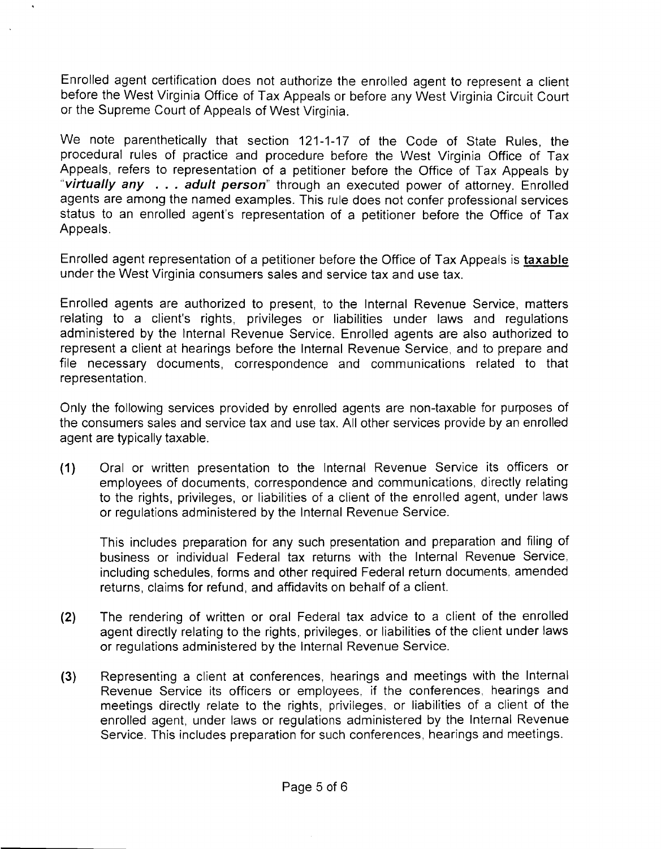Enrolled agent certification does not authorize the enrolled agent to represent a client before the West Virginia Office of Tax Appeals or before any West Virginia Circuit Court or the Supreme Court of Appeals of West Virginia.

We note parenthetically that section 121-1-17 of the Code of State Rules, the procedural rules of practice and procedure before the West Virginia Office of Tax Appeals, refers to representation of a petitioner before the Office of Tax Appeals by **"virtually any** . . . **adult person"** through an executed power of attorney. Enrolled agents are among the named examples. This rule does not confer professional services status to an enrolled agent's representation of a petitioner before the Office of Tax Appeals.

Enrolled agent representation of a petitioner before the Office of Tax Appeals is taxable under the West Virginia consumers sales and service tax and use tax.

Enrolled agents are authorized to present, to the lnternal Revenue Service, matters relating to a client's rights, privileges or liabilities under laws and regulations administered by the lnternal Revenue Service. Enrolled agents are also authorized to represent a client at hearings before the lnternal Revenue Service, and to prepare and file necessary documents, correspondence and communications related to that representation.

Only the following services provided by enrolled agents are non-taxable for purposes of the consumers sales and service tax and use tax. All other services provide by an enrolled agent are typically taxable.

**(1)** Oral or written presentation to the lnternal Revenue Service its officers or employees of documents, correspondence and communications, directly relating to the rights, privileges, or liabilities of a client of the enrolled agent, under laws or regulations administered by the lnternal Revenue Service.

This includes preparation for any such presentation and preparation and filing of business or individual Federal tax returns with the lnternal Revenue Service, including schedules, forms and other required Federal return documents. amended returns, claims for refund, and affidavits on behalf of a client.

- **(2)** The rendering of written or oral Federal tax advice to a client of the enrolled agent directly relating to the rights, privileges, or liabilities of the client under laws or regulations administered by the lnternal Revenue Service.
- **(3)** Representing a client at conferences, hearings and meetings with the lnternal Revenue Service its officers or employees, if the conferences, hearings and meetings directly relate to the rights, privileges, or liabilities of a client of the enrolled agent, under laws or regulations administered by the lnternal Revenue Service. This includes preparation for such conferences, hearings and meetings.